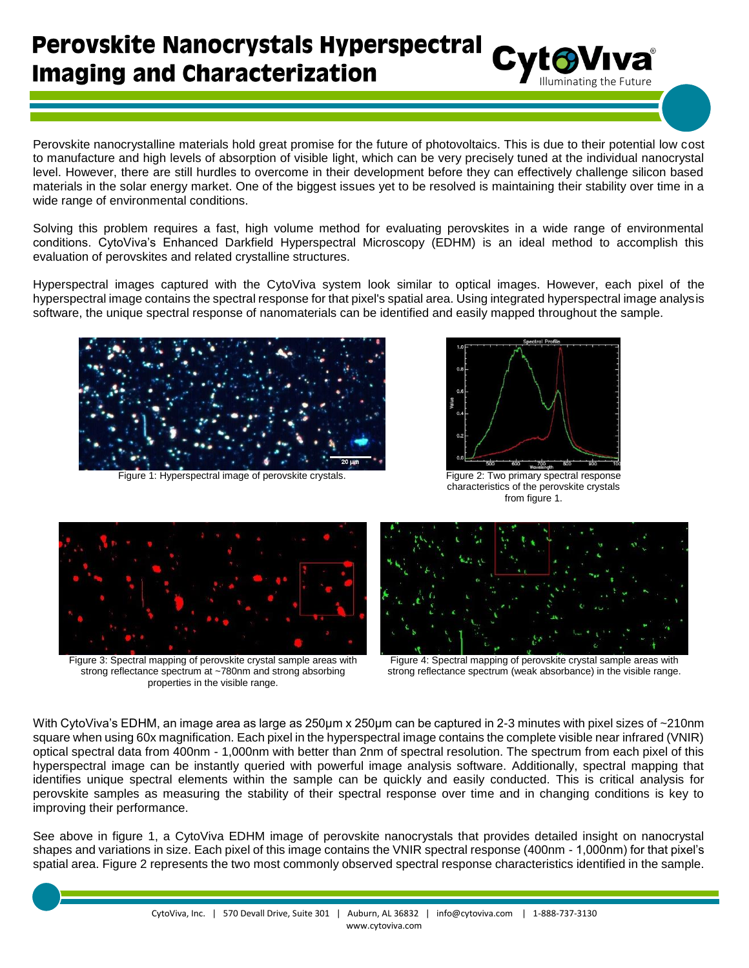## **Perovskite Nanocrystals Hyperspectral Imaging and Characterization**

Perovskite nanocrystalline materials hold great promise for the future of photovoltaics. This is due to their potential low cost to manufacture and high levels of absorption of visible light, which can be very precisely tuned at the individual nanocrystal level. However, there are still hurdles to overcome in their development before they can effectively challenge silicon based materials in the solar energy market. One of the biggest issues yet to be resolved is maintaining their stability over time in a wide range of environmental conditions.

Solving this problem requires a fast, high volume method for evaluating perovskites in a wide range of environmental conditions. CytoViva's Enhanced Darkfield Hyperspectral Microscopy (EDHM) is an ideal method to accomplish this evaluation of perovskites and related crystalline structures.

Hyperspectral images captured with the CytoViva system look similar to optical images. However, each pixel of the hyperspectral image contains the spectral response for that pixel's spatial area. Using integrated hyperspectral image analysis software, the unique spectral response of nanomaterials can be identified and easily mapped throughout the sample.



Figure 1: Hyperspectral image of perovskite crystals. Figure 2: Two primary spectral response



Cyto Viva

characteristics of the perovskite crystals from figure 1.



Figure 3: Spectral mapping of perovskite crystal sample areas with strong reflectance spectrum at ~780nm and strong absorbing properties in the visible range.



Figure 4: Spectral mapping of perovskite crystal sample areas with strong reflectance spectrum (weak absorbance) in the visible range.

With CytoViva's EDHM, an image area as large as 250μm x 250μm can be captured in 2-3 minutes with pixel sizes of ~210nm square when using 60x magnification. Each pixel in the hyperspectral image contains the complete visible near infrared (VNIR) optical spectral data from 400nm - 1,000nm with better than 2nm of spectral resolution. The spectrum from each pixel of this hyperspectral image can be instantly queried with powerful image analysis software. Additionally, spectral mapping that identifies unique spectral elements within the sample can be quickly and easily conducted. This is critical analysis for perovskite samples as measuring the stability of their spectral response over time and in changing conditions is key to improving their performance.

See above in figure 1, a CytoViva EDHM image of perovskite nanocrystals that provides detailed insight on nanocrystal shapes and variations in size. Each pixel of this image contains the VNIR spectral response (400nm - 1,000nm) for that pixel's spatial area. Figure 2 represents the two most commonly observed spectral response characteristics identified in the sample.